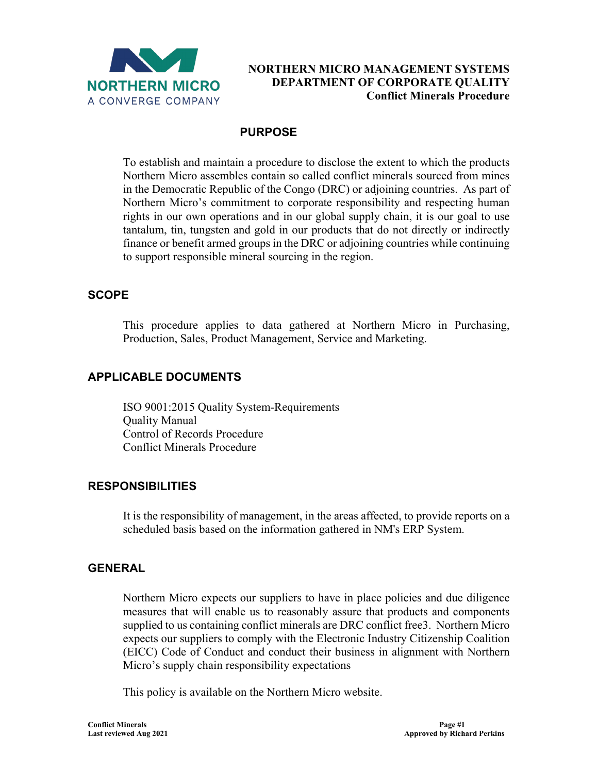

### **PURPOSE**

To establish and maintain a procedure to disclose the extent to which the products Northern Micro assembles contain so called conflict minerals sourced from mines in the Democratic Republic of the Congo (DRC) or adjoining countries. As part of Northern Micro's commitment to corporate responsibility and respecting human rights in our own operations and in our global supply chain, it is our goal to use tantalum, tin, tungsten and gold in our products that do not directly or indirectly finance or benefit armed groups in the DRC or adjoining countries while continuing to support responsible mineral sourcing in the region.

#### **SCOPE**

This procedure applies to data gathered at Northern Micro in Purchasing, Production, Sales, Product Management, Service and Marketing.

## **APPLICABLE DOCUMENTS**

ISO 9001:2015 Quality System-Requirements Quality Manual Control of Records Procedure Conflict Minerals Procedure

#### **RESPONSIBILITIES**

It is the responsibility of management, in the areas affected, to provide reports on a scheduled basis based on the information gathered in NM's ERP System.

#### **GENERAL**

Northern Micro expects our suppliers to have in place policies and due diligence measures that will enable us to reasonably assure that products and components supplied to us containing conflict minerals are DRC conflict free3. Northern Micro expects our suppliers to comply with the Electronic Industry Citizenship Coalition (EICC) Code of Conduct and conduct their business in alignment with Northern Micro's supply chain responsibility expectations

This policy is available on the Northern Micro website.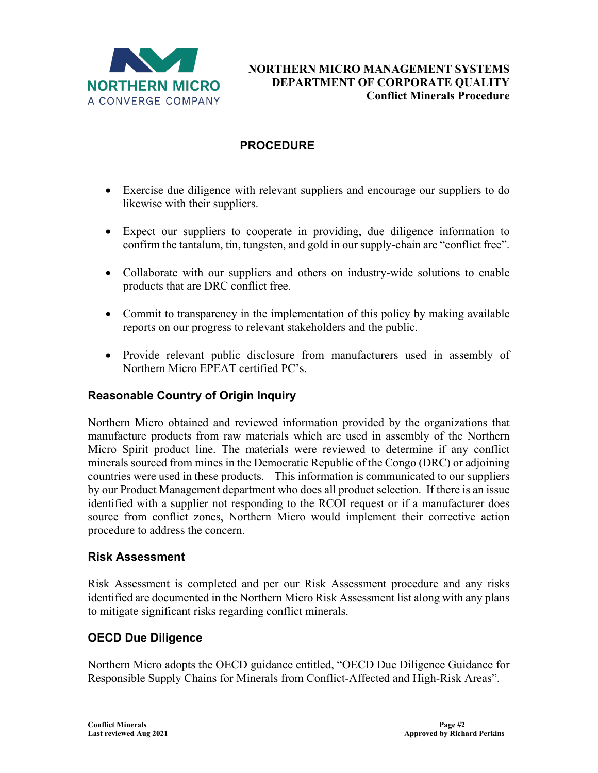

# **PROCEDURE**

- Exercise due diligence with relevant suppliers and encourage our suppliers to do likewise with their suppliers.
- Expect our suppliers to cooperate in providing, due diligence information to confirm the tantalum, tin, tungsten, and gold in our supply-chain are "conflict free".
- Collaborate with our suppliers and others on industry-wide solutions to enable products that are DRC conflict free.
- Commit to transparency in the implementation of this policy by making available reports on our progress to relevant stakeholders and the public.
- Provide relevant public disclosure from manufacturers used in assembly of Northern Micro EPEAT certified PC's.

## **Reasonable Country of Origin Inquiry**

Northern Micro obtained and reviewed information provided by the organizations that manufacture products from raw materials which are used in assembly of the Northern Micro Spirit product line. The materials were reviewed to determine if any conflict minerals sourced from mines in the Democratic Republic of the Congo (DRC) or adjoining countries were used in these products. This information is communicated to our suppliers by our Product Management department who does all product selection. If there is an issue identified with a supplier not responding to the RCOI request or if a manufacturer does source from conflict zones, Northern Micro would implement their corrective action procedure to address the concern.

#### **Risk Assessment**

Risk Assessment is completed and per our Risk Assessment procedure and any risks identified are documented in the Northern Micro Risk Assessment list along with any plans to mitigate significant risks regarding conflict minerals.

## **OECD Due Diligence**

Northern Micro adopts the OECD guidance entitled, "OECD Due Diligence Guidance for Responsible Supply Chains for Minerals from Conflict-Affected and High-Risk Areas".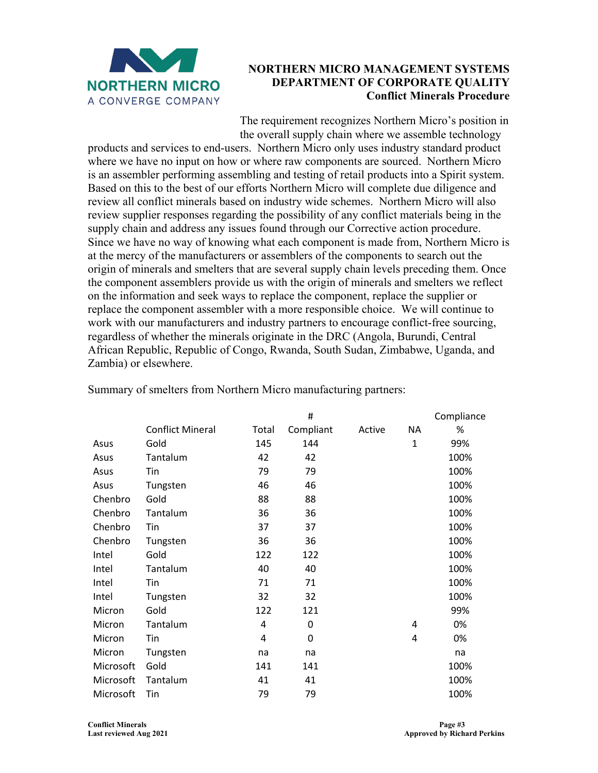

The requirement recognizes Northern Micro's position in the overall supply chain where we assemble technology

products and services to end-users. Northern Micro only uses industry standard product where we have no input on how or where raw components are sourced. Northern Micro is an assembler performing assembling and testing of retail products into a Spirit system. Based on this to the best of our efforts Northern Micro will complete due diligence and review all conflict minerals based on industry wide schemes. Northern Micro will also review supplier responses regarding the possibility of any conflict materials being in the supply chain and address any issues found through our Corrective action procedure. Since we have no way of knowing what each component is made from, Northern Micro is at the mercy of the manufacturers or assemblers of the components to search out the origin of minerals and smelters that are several supply chain levels preceding them. Once the component assemblers provide us with the origin of minerals and smelters we reflect on the information and seek ways to replace the component, replace the supplier or replace the component assembler with a more responsible choice. We will continue to work with our manufacturers and industry partners to encourage conflict-free sourcing, regardless of whether the minerals originate in the DRC (Angola, Burundi, Central African Republic, Republic of Congo, Rwanda, South Sudan, Zimbabwe, Uganda, and Zambia) or elsewhere.

|           |                         |       | Compliance |        |              |      |
|-----------|-------------------------|-------|------------|--------|--------------|------|
|           | <b>Conflict Mineral</b> | Total | Compliant  | Active | ΝA           | %    |
| Asus      | Gold                    | 145   | 144        |        | $\mathbf{1}$ | 99%  |
| Asus      | Tantalum                | 42    | 42         |        |              | 100% |
| Asus      | Tin                     | 79    | 79         |        |              | 100% |
| Asus      | Tungsten                | 46    | 46         |        |              | 100% |
| Chenbro   | Gold                    | 88    | 88         |        |              | 100% |
| Chenbro   | Tantalum                | 36    | 36         |        |              | 100% |
| Chenbro   | Tin                     | 37    | 37         |        |              | 100% |
| Chenbro   | Tungsten                | 36    | 36         |        |              | 100% |
| Intel     | Gold                    | 122   | 122        |        |              | 100% |
| Intel     | Tantalum                | 40    | 40         |        |              | 100% |
| Intel     | Tin                     | 71    | 71         |        |              | 100% |
| Intel     | Tungsten                | 32    | 32         |        |              | 100% |
| Micron    | Gold                    | 122   | 121        |        |              | 99%  |
| Micron    | Tantalum                | 4     | 0          |        | 4            | 0%   |
| Micron    | Tin                     | 4     | 0          |        | 4            | 0%   |
| Micron    | Tungsten                | na    | na         |        |              | na   |
| Microsoft | Gold                    | 141   | 141        |        |              | 100% |
| Microsoft | Tantalum                | 41    | 41         |        |              | 100% |
| Microsoft | Tin                     | 79    | 79         |        |              | 100% |

Summary of smelters from Northern Micro manufacturing partners: